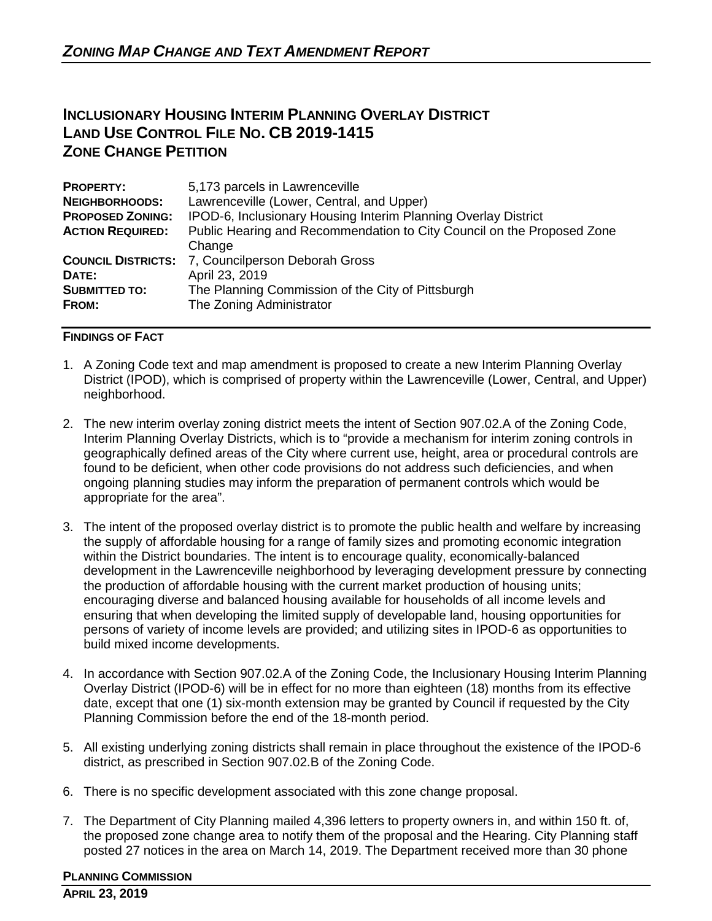# **INCLUSIONARY HOUSING INTERIM PLANNING OVERLAY DISTRICT LAND USE CONTROL FILE NO. CB 2019-1415 ZONE CHANGE PETITION**

| <b>PROPERTY:</b>                       | 5,173 parcels in Lawrenceville                                                                                                                                        |
|----------------------------------------|-----------------------------------------------------------------------------------------------------------------------------------------------------------------------|
| <b>NEIGHBORHOODS:</b>                  | Lawrenceville (Lower, Central, and Upper)                                                                                                                             |
| <b>PROPOSED ZONING:</b>                | IPOD-6, Inclusionary Housing Interim Planning Overlay District                                                                                                        |
| <b>ACTION REQUIRED:</b>                | Public Hearing and Recommendation to City Council on the Proposed Zone                                                                                                |
| DATE:<br><b>SUBMITTED TO:</b><br>FROM: | Change<br><b>COUNCIL DISTRICTS: 7, Councilperson Deborah Gross</b><br>April 23, 2019<br>The Planning Commission of the City of Pittsburgh<br>The Zoning Administrator |

### **FINDINGS OF FACT**

- 1. A Zoning Code text and map amendment is proposed to create a new Interim Planning Overlay District (IPOD), which is comprised of property within the Lawrenceville (Lower, Central, and Upper) neighborhood.
- 2. The new interim overlay zoning district meets the intent of Section 907.02.A of the Zoning Code, Interim Planning Overlay Districts, which is to "provide a mechanism for interim zoning controls in geographically defined areas of the City where current use, height, area or procedural controls are found to be deficient, when other code provisions do not address such deficiencies, and when ongoing planning studies may inform the preparation of permanent controls which would be appropriate for the area".
- 3. The intent of the proposed overlay district is to promote the public health and welfare by increasing the supply of affordable housing for a range of family sizes and promoting economic integration within the District boundaries. The intent is to encourage quality, economically-balanced development in the Lawrenceville neighborhood by leveraging development pressure by connecting the production of affordable housing with the current market production of housing units; encouraging diverse and balanced housing available for households of all income levels and ensuring that when developing the limited supply of developable land, housing opportunities for persons of variety of income levels are provided; and utilizing sites in IPOD-6 as opportunities to build mixed income developments.
- 4. In accordance with Section 907.02.A of the Zoning Code, the Inclusionary Housing Interim Planning Overlay District (IPOD-6) will be in effect for no more than eighteen (18) months from its effective date, except that one (1) six-month extension may be granted by Council if requested by the City Planning Commission before the end of the 18-month period.
- 5. All existing underlying zoning districts shall remain in place throughout the existence of the IPOD-6 district, as prescribed in Section 907.02.B of the Zoning Code.
- 6. There is no specific development associated with this zone change proposal.
- 7. The Department of City Planning mailed 4,396 letters to property owners in, and within 150 ft. of, the proposed zone change area to notify them of the proposal and the Hearing. City Planning staff posted 27 notices in the area on March 14, 2019. The Department received more than 30 phone

#### **PLANNING COMMISSION**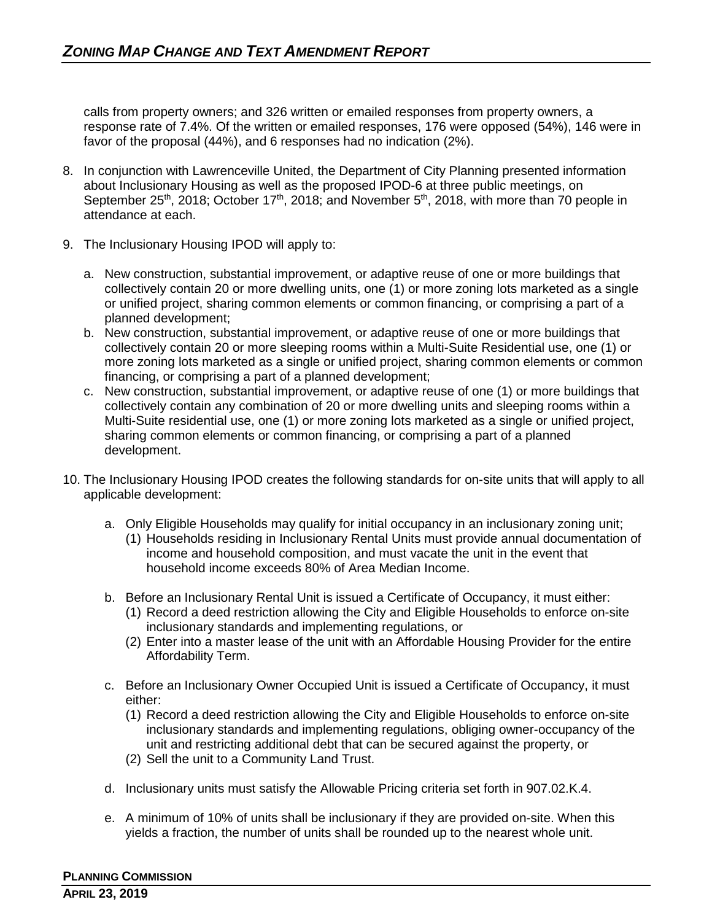calls from property owners; and 326 written or emailed responses from property owners, a response rate of 7.4%. Of the written or emailed responses, 176 were opposed (54%), 146 were in favor of the proposal (44%), and 6 responses had no indication (2%).

- 8. In conjunction with Lawrenceville United, the Department of City Planning presented information about Inclusionary Housing as well as the proposed IPOD-6 at three public meetings, on September 25<sup>th</sup>, 2018; October 17<sup>th</sup>, 2018; and November 5<sup>th</sup>, 2018, with more than 70 people in attendance at each.
- 9. The Inclusionary Housing IPOD will apply to:
	- a. New construction, substantial improvement, or adaptive reuse of one or more buildings that collectively contain 20 or more dwelling units, one (1) or more zoning lots marketed as a single or unified project, sharing common elements or common financing, or comprising a part of a planned development;
	- b. New construction, substantial improvement, or adaptive reuse of one or more buildings that collectively contain 20 or more sleeping rooms within a Multi-Suite Residential use, one (1) or more zoning lots marketed as a single or unified project, sharing common elements or common financing, or comprising a part of a planned development;
	- c. New construction, substantial improvement, or adaptive reuse of one (1) or more buildings that collectively contain any combination of 20 or more dwelling units and sleeping rooms within a Multi-Suite residential use, one (1) or more zoning lots marketed as a single or unified project, sharing common elements or common financing, or comprising a part of a planned development.
- 10. The Inclusionary Housing IPOD creates the following standards for on-site units that will apply to all applicable development:
	- a. Only Eligible Households may qualify for initial occupancy in an inclusionary zoning unit;
		- (1) Households residing in Inclusionary Rental Units must provide annual documentation of income and household composition, and must vacate the unit in the event that household income exceeds 80% of Area Median Income.
	- b. Before an Inclusionary Rental Unit is issued a Certificate of Occupancy, it must either:
		- (1) Record a deed restriction allowing the City and Eligible Households to enforce on-site inclusionary standards and implementing regulations, or
		- (2) Enter into a master lease of the unit with an Affordable Housing Provider for the entire Affordability Term.
	- c. Before an Inclusionary Owner Occupied Unit is issued a Certificate of Occupancy, it must either:
		- (1) Record a deed restriction allowing the City and Eligible Households to enforce on-site inclusionary standards and implementing regulations, obliging owner-occupancy of the unit and restricting additional debt that can be secured against the property, or
		- (2) Sell the unit to a Community Land Trust.
	- d. Inclusionary units must satisfy the Allowable Pricing criteria set forth in 907.02.K.4.
	- e. A minimum of 10% of units shall be inclusionary if they are provided on-site. When this yields a fraction, the number of units shall be rounded up to the nearest whole unit.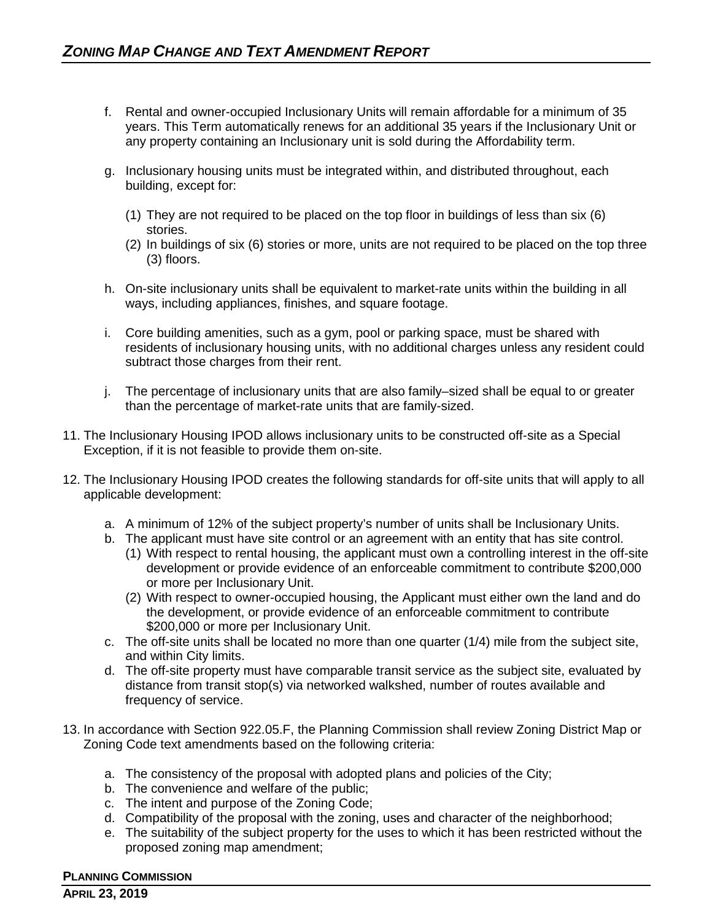- f. Rental and owner-occupied Inclusionary Units will remain affordable for a minimum of 35 years. This Term automatically renews for an additional 35 years if the Inclusionary Unit or any property containing an Inclusionary unit is sold during the Affordability term.
- g. Inclusionary housing units must be integrated within, and distributed throughout, each building, except for:
	- (1) They are not required to be placed on the top floor in buildings of less than six (6) stories.
	- (2) In buildings of six (6) stories or more, units are not required to be placed on the top three (3) floors.
- h. On-site inclusionary units shall be equivalent to market-rate units within the building in all ways, including appliances, finishes, and square footage.
- i. Core building amenities, such as a gym, pool or parking space, must be shared with residents of inclusionary housing units, with no additional charges unless any resident could subtract those charges from their rent.
- j. The percentage of inclusionary units that are also family–sized shall be equal to or greater than the percentage of market-rate units that are family-sized.
- 11. The Inclusionary Housing IPOD allows inclusionary units to be constructed off-site as a Special Exception, if it is not feasible to provide them on-site.
- 12. The Inclusionary Housing IPOD creates the following standards for off-site units that will apply to all applicable development:
	- a. A minimum of 12% of the subject property's number of units shall be Inclusionary Units.
	- b. The applicant must have site control or an agreement with an entity that has site control.
		- (1) With respect to rental housing, the applicant must own a controlling interest in the off-site development or provide evidence of an enforceable commitment to contribute \$200,000 or more per Inclusionary Unit.
		- (2) With respect to owner-occupied housing, the Applicant must either own the land and do the development, or provide evidence of an enforceable commitment to contribute \$200,000 or more per Inclusionary Unit.
	- c. The off-site units shall be located no more than one quarter (1/4) mile from the subject site, and within City limits.
	- d. The off-site property must have comparable transit service as the subject site, evaluated by distance from transit stop(s) via networked walkshed, number of routes available and frequency of service.
- 13. In accordance with Section 922.05.F, the Planning Commission shall review Zoning District Map or Zoning Code text amendments based on the following criteria:
	- a. The consistency of the proposal with adopted plans and policies of the City;
	- b. The convenience and welfare of the public;
	- c. The intent and purpose of the Zoning Code;
	- d. Compatibility of the proposal with the zoning, uses and character of the neighborhood;
	- e. The suitability of the subject property for the uses to which it has been restricted without the proposed zoning map amendment;

## **PLANNING COMMISSION**